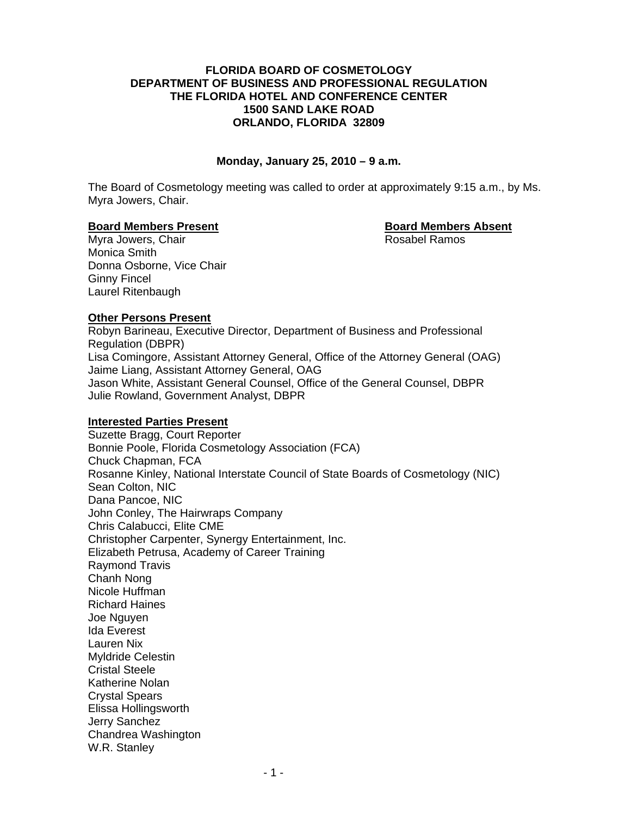#### **FLORIDA BOARD OF COSMETOLOGY DEPARTMENT OF BUSINESS AND PROFESSIONAL REGULATION THE FLORIDA HOTEL AND CONFERENCE CENTER 1500 SAND LAKE ROAD ORLANDO, FLORIDA 32809**

#### **Monday, January 25, 2010 – 9 a.m.**

The Board of Cosmetology meeting was called to order at approximately 9:15 a.m., by Ms. Myra Jowers, Chair.

#### **Board Members Present Constraining Board Members Absent**

Myra Jowers, Chair **Rosabel Ramos** Rosabel Ramos Monica Smith Donna Osborne, Vice Chair Ginny Fincel Laurel Ritenbaugh

# **Other Persons Present**

Robyn Barineau, Executive Director, Department of Business and Professional Regulation (DBPR) Lisa Comingore, Assistant Attorney General, Office of the Attorney General (OAG) Jaime Liang, Assistant Attorney General, OAG Jason White, Assistant General Counsel, Office of the General Counsel, DBPR Julie Rowland, Government Analyst, DBPR

# **Interested Parties Present**

Suzette Bragg, Court Reporter Bonnie Poole, Florida Cosmetology Association (FCA) Chuck Chapman, FCA Rosanne Kinley, National Interstate Council of State Boards of Cosmetology (NIC) Sean Colton, NIC Dana Pancoe, NIC John Conley, The Hairwraps Company Chris Calabucci, Elite CME Christopher Carpenter, Synergy Entertainment, Inc. Elizabeth Petrusa, Academy of Career Training Raymond Travis Chanh Nong Nicole Huffman Richard Haines Joe Nguyen Ida Everest Lauren Nix Myldride Celestin Cristal Steele Katherine Nolan Crystal Spears Elissa Hollingsworth Jerry Sanchez Chandrea Washington W.R. Stanley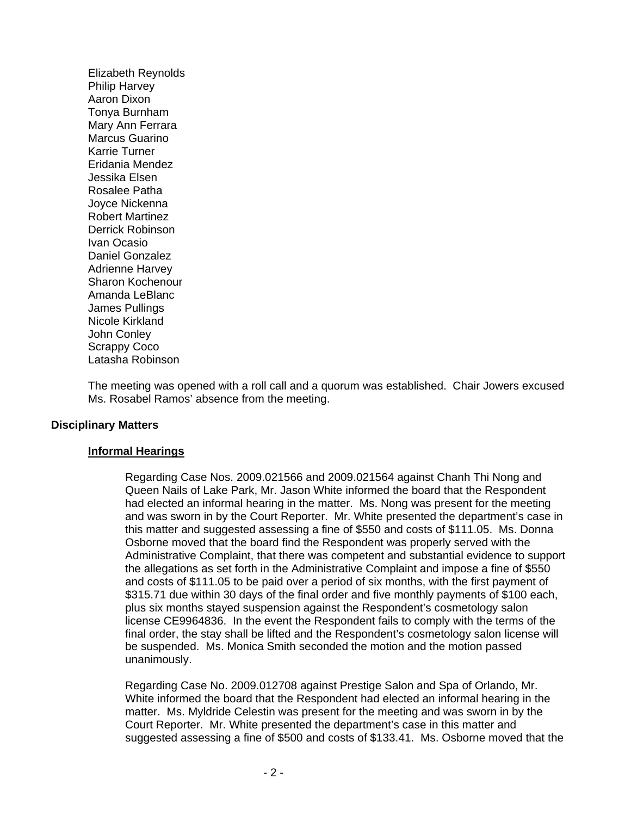Elizabeth Reynolds Philip Harvey Aaron Dixon Tonya Burnham Mary Ann Ferrara Marcus Guarino Karrie Turner Eridania Mendez Jessika Elsen Rosalee Patha Joyce Nickenna Robert Martinez Derrick Robinson Ivan Ocasio Daniel Gonzalez Adrienne Harvey Sharon Kochenour Amanda LeBlanc James Pullings Nicole Kirkland John Conley Scrappy Coco Latasha Robinson

The meeting was opened with a roll call and a quorum was established. Chair Jowers excused Ms. Rosabel Ramos' absence from the meeting.

#### **Disciplinary Matters**

#### **Informal Hearings**

Regarding Case Nos. 2009.021566 and 2009.021564 against Chanh Thi Nong and Queen Nails of Lake Park, Mr. Jason White informed the board that the Respondent had elected an informal hearing in the matter. Ms. Nong was present for the meeting and was sworn in by the Court Reporter. Mr. White presented the department's case in this matter and suggested assessing a fine of \$550 and costs of \$111.05. Ms. Donna Osborne moved that the board find the Respondent was properly served with the Administrative Complaint, that there was competent and substantial evidence to support the allegations as set forth in the Administrative Complaint and impose a fine of \$550 and costs of \$111.05 to be paid over a period of six months, with the first payment of \$315.71 due within 30 days of the final order and five monthly payments of \$100 each, plus six months stayed suspension against the Respondent's cosmetology salon license CE9964836. In the event the Respondent fails to comply with the terms of the final order, the stay shall be lifted and the Respondent's cosmetology salon license will be suspended. Ms. Monica Smith seconded the motion and the motion passed unanimously.

Regarding Case No. 2009.012708 against Prestige Salon and Spa of Orlando, Mr. White informed the board that the Respondent had elected an informal hearing in the matter. Ms. Myldride Celestin was present for the meeting and was sworn in by the Court Reporter. Mr. White presented the department's case in this matter and suggested assessing a fine of \$500 and costs of \$133.41. Ms. Osborne moved that the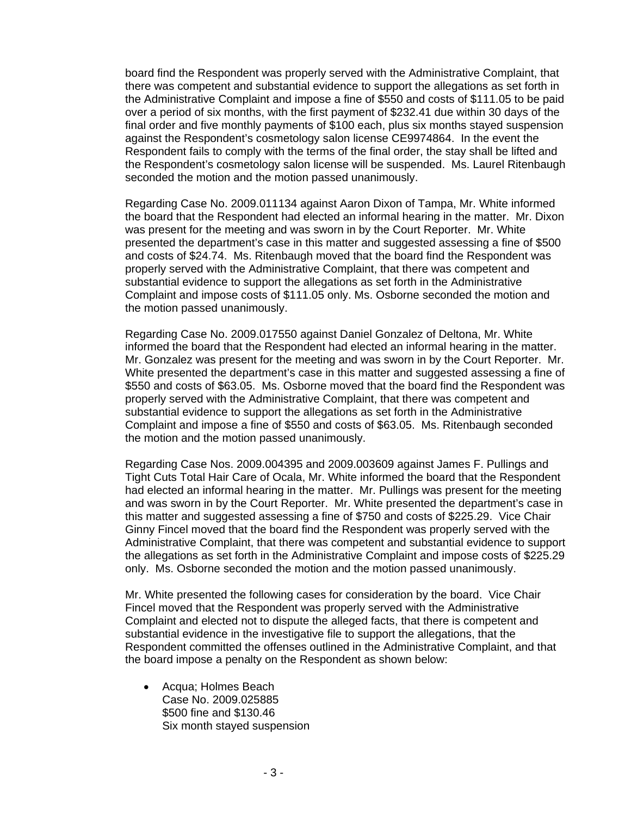board find the Respondent was properly served with the Administrative Complaint, that there was competent and substantial evidence to support the allegations as set forth in the Administrative Complaint and impose a fine of \$550 and costs of \$111.05 to be paid over a period of six months, with the first payment of \$232.41 due within 30 days of the final order and five monthly payments of \$100 each, plus six months stayed suspension against the Respondent's cosmetology salon license CE9974864. In the event the Respondent fails to comply with the terms of the final order, the stay shall be lifted and the Respondent's cosmetology salon license will be suspended. Ms. Laurel Ritenbaugh seconded the motion and the motion passed unanimously.

Regarding Case No. 2009.011134 against Aaron Dixon of Tampa, Mr. White informed the board that the Respondent had elected an informal hearing in the matter. Mr. Dixon was present for the meeting and was sworn in by the Court Reporter. Mr. White presented the department's case in this matter and suggested assessing a fine of \$500 and costs of \$24.74. Ms. Ritenbaugh moved that the board find the Respondent was properly served with the Administrative Complaint, that there was competent and substantial evidence to support the allegations as set forth in the Administrative Complaint and impose costs of \$111.05 only. Ms. Osborne seconded the motion and the motion passed unanimously.

Regarding Case No. 2009.017550 against Daniel Gonzalez of Deltona, Mr. White informed the board that the Respondent had elected an informal hearing in the matter. Mr. Gonzalez was present for the meeting and was sworn in by the Court Reporter. Mr. White presented the department's case in this matter and suggested assessing a fine of \$550 and costs of \$63.05. Ms. Osborne moved that the board find the Respondent was properly served with the Administrative Complaint, that there was competent and substantial evidence to support the allegations as set forth in the Administrative Complaint and impose a fine of \$550 and costs of \$63.05. Ms. Ritenbaugh seconded the motion and the motion passed unanimously.

Regarding Case Nos. 2009.004395 and 2009.003609 against James F. Pullings and Tight Cuts Total Hair Care of Ocala, Mr. White informed the board that the Respondent had elected an informal hearing in the matter. Mr. Pullings was present for the meeting and was sworn in by the Court Reporter. Mr. White presented the department's case in this matter and suggested assessing a fine of \$750 and costs of \$225.29. Vice Chair Ginny Fincel moved that the board find the Respondent was properly served with the Administrative Complaint, that there was competent and substantial evidence to support the allegations as set forth in the Administrative Complaint and impose costs of \$225.29 only. Ms. Osborne seconded the motion and the motion passed unanimously.

Mr. White presented the following cases for consideration by the board. Vice Chair Fincel moved that the Respondent was properly served with the Administrative Complaint and elected not to dispute the alleged facts, that there is competent and substantial evidence in the investigative file to support the allegations, that the Respondent committed the offenses outlined in the Administrative Complaint, and that the board impose a penalty on the Respondent as shown below:

• Acqua; Holmes Beach Case No. 2009.025885 \$500 fine and \$130.46 Six month stayed suspension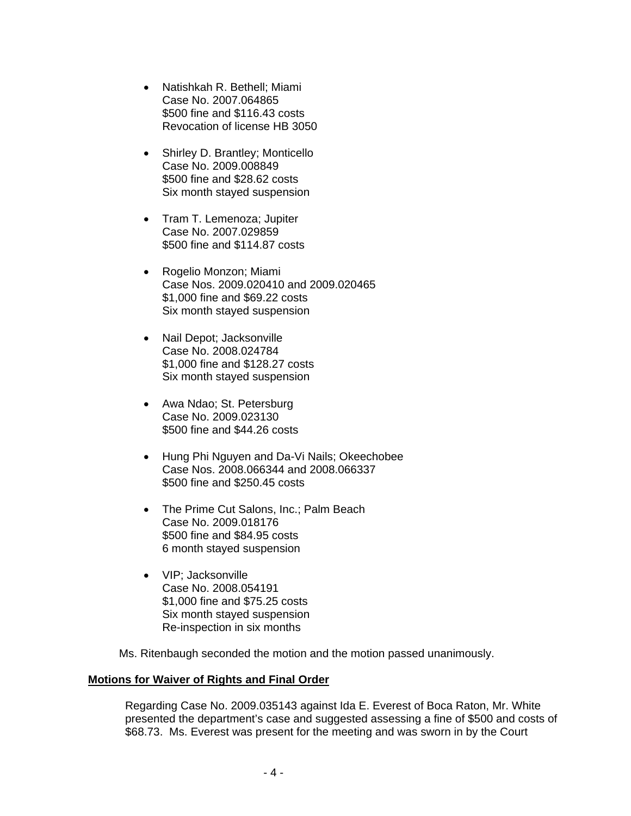- Natishkah R. Bethell; Miami Case No. 2007.064865 \$500 fine and \$116.43 costs Revocation of license HB 3050
- Shirley D. Brantley; Monticello Case No. 2009.008849 \$500 fine and \$28.62 costs Six month stayed suspension
- Tram T. Lemenoza; Jupiter Case No. 2007.029859 \$500 fine and \$114.87 costs
- Rogelio Monzon; Miami Case Nos. 2009.020410 and 2009.020465 \$1,000 fine and \$69.22 costs Six month stayed suspension
- Nail Depot; Jacksonville Case No. 2008.024784 \$1,000 fine and \$128.27 costs Six month stayed suspension
- Awa Ndao; St. Petersburg Case No. 2009.023130 \$500 fine and \$44.26 costs
- Hung Phi Nguyen and Da-Vi Nails; Okeechobee Case Nos. 2008.066344 and 2008.066337 \$500 fine and \$250.45 costs
- The Prime Cut Salons, Inc.; Palm Beach Case No. 2009.018176 \$500 fine and \$84.95 costs 6 month stayed suspension
- VIP; Jacksonville Case No. 2008.054191 \$1,000 fine and \$75.25 costs Six month stayed suspension Re-inspection in six months

Ms. Ritenbaugh seconded the motion and the motion passed unanimously.

# **Motions for Waiver of Rights and Final Order**

Regarding Case No. 2009.035143 against Ida E. Everest of Boca Raton, Mr. White presented the department's case and suggested assessing a fine of \$500 and costs of \$68.73. Ms. Everest was present for the meeting and was sworn in by the Court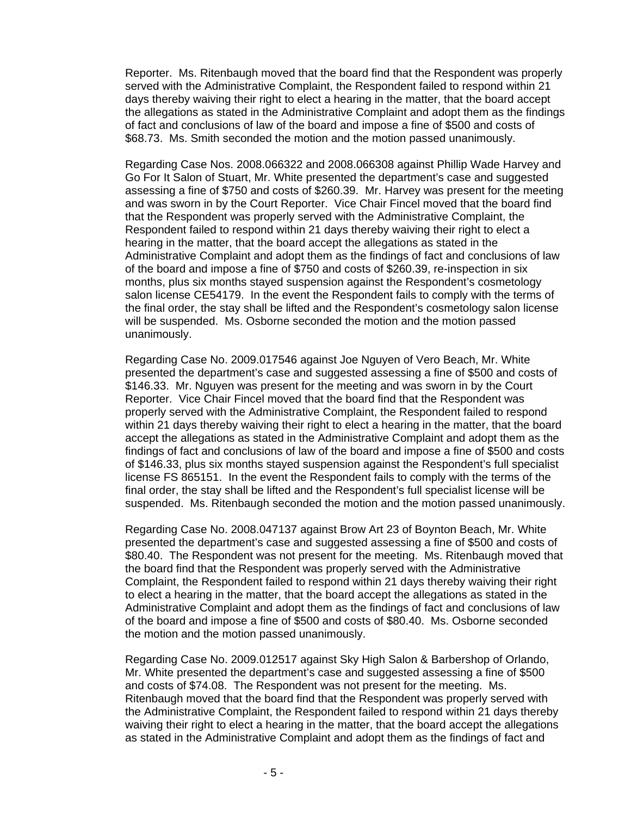Reporter. Ms. Ritenbaugh moved that the board find that the Respondent was properly served with the Administrative Complaint, the Respondent failed to respond within 21 days thereby waiving their right to elect a hearing in the matter, that the board accept the allegations as stated in the Administrative Complaint and adopt them as the findings of fact and conclusions of law of the board and impose a fine of \$500 and costs of \$68.73. Ms. Smith seconded the motion and the motion passed unanimously.

Regarding Case Nos. 2008.066322 and 2008.066308 against Phillip Wade Harvey and Go For It Salon of Stuart, Mr. White presented the department's case and suggested assessing a fine of \$750 and costs of \$260.39. Mr. Harvey was present for the meeting and was sworn in by the Court Reporter. Vice Chair Fincel moved that the board find that the Respondent was properly served with the Administrative Complaint, the Respondent failed to respond within 21 days thereby waiving their right to elect a hearing in the matter, that the board accept the allegations as stated in the Administrative Complaint and adopt them as the findings of fact and conclusions of law of the board and impose a fine of \$750 and costs of \$260.39, re-inspection in six months, plus six months stayed suspension against the Respondent's cosmetology salon license CE54179. In the event the Respondent fails to comply with the terms of the final order, the stay shall be lifted and the Respondent's cosmetology salon license will be suspended. Ms. Osborne seconded the motion and the motion passed unanimously.

Regarding Case No. 2009.017546 against Joe Nguyen of Vero Beach, Mr. White presented the department's case and suggested assessing a fine of \$500 and costs of \$146.33. Mr. Nguyen was present for the meeting and was sworn in by the Court Reporter. Vice Chair Fincel moved that the board find that the Respondent was properly served with the Administrative Complaint, the Respondent failed to respond within 21 days thereby waiving their right to elect a hearing in the matter, that the board accept the allegations as stated in the Administrative Complaint and adopt them as the findings of fact and conclusions of law of the board and impose a fine of \$500 and costs of \$146.33, plus six months stayed suspension against the Respondent's full specialist license FS 865151. In the event the Respondent fails to comply with the terms of the final order, the stay shall be lifted and the Respondent's full specialist license will be suspended. Ms. Ritenbaugh seconded the motion and the motion passed unanimously.

Regarding Case No. 2008.047137 against Brow Art 23 of Boynton Beach, Mr. White presented the department's case and suggested assessing a fine of \$500 and costs of \$80.40. The Respondent was not present for the meeting. Ms. Ritenbaugh moved that the board find that the Respondent was properly served with the Administrative Complaint, the Respondent failed to respond within 21 days thereby waiving their right to elect a hearing in the matter, that the board accept the allegations as stated in the Administrative Complaint and adopt them as the findings of fact and conclusions of law of the board and impose a fine of \$500 and costs of \$80.40. Ms. Osborne seconded the motion and the motion passed unanimously.

Regarding Case No. 2009.012517 against Sky High Salon & Barbershop of Orlando, Mr. White presented the department's case and suggested assessing a fine of \$500 and costs of \$74.08. The Respondent was not present for the meeting. Ms. Ritenbaugh moved that the board find that the Respondent was properly served with the Administrative Complaint, the Respondent failed to respond within 21 days thereby waiving their right to elect a hearing in the matter, that the board accept the allegations as stated in the Administrative Complaint and adopt them as the findings of fact and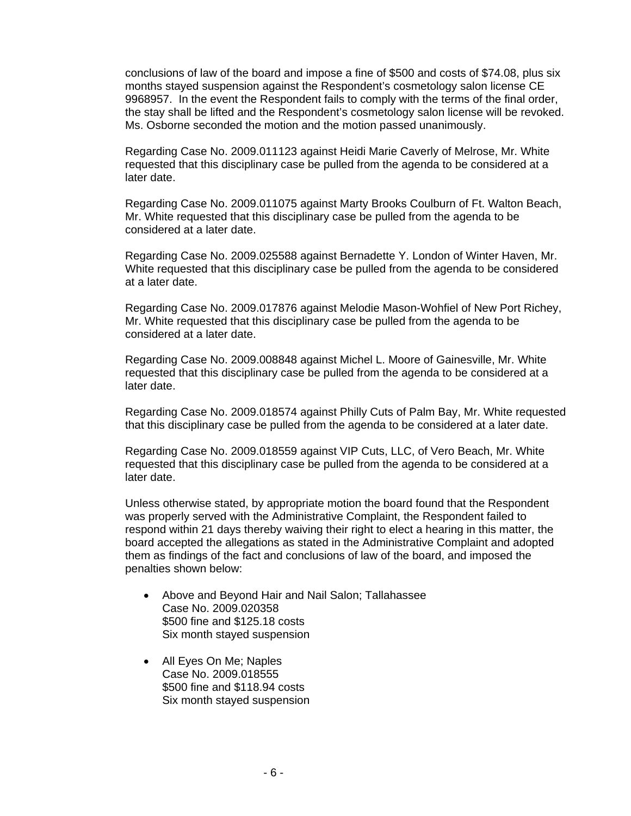conclusions of law of the board and impose a fine of \$500 and costs of \$74.08, plus six months stayed suspension against the Respondent's cosmetology salon license CE 9968957. In the event the Respondent fails to comply with the terms of the final order, the stay shall be lifted and the Respondent's cosmetology salon license will be revoked. Ms. Osborne seconded the motion and the motion passed unanimously.

Regarding Case No. 2009.011123 against Heidi Marie Caverly of Melrose, Mr. White requested that this disciplinary case be pulled from the agenda to be considered at a later date.

Regarding Case No. 2009.011075 against Marty Brooks Coulburn of Ft. Walton Beach, Mr. White requested that this disciplinary case be pulled from the agenda to be considered at a later date.

Regarding Case No. 2009.025588 against Bernadette Y. London of Winter Haven, Mr. White requested that this disciplinary case be pulled from the agenda to be considered at a later date.

Regarding Case No. 2009.017876 against Melodie Mason-Wohfiel of New Port Richey, Mr. White requested that this disciplinary case be pulled from the agenda to be considered at a later date.

Regarding Case No. 2009.008848 against Michel L. Moore of Gainesville, Mr. White requested that this disciplinary case be pulled from the agenda to be considered at a later date.

Regarding Case No. 2009.018574 against Philly Cuts of Palm Bay, Mr. White requested that this disciplinary case be pulled from the agenda to be considered at a later date.

Regarding Case No. 2009.018559 against VIP Cuts, LLC, of Vero Beach, Mr. White requested that this disciplinary case be pulled from the agenda to be considered at a later date.

Unless otherwise stated, by appropriate motion the board found that the Respondent was properly served with the Administrative Complaint, the Respondent failed to respond within 21 days thereby waiving their right to elect a hearing in this matter, the board accepted the allegations as stated in the Administrative Complaint and adopted them as findings of the fact and conclusions of law of the board, and imposed the penalties shown below:

- Above and Beyond Hair and Nail Salon; Tallahassee Case No. 2009.020358 \$500 fine and \$125.18 costs Six month stayed suspension
- All Eves On Me: Naples Case No. 2009.018555 \$500 fine and \$118.94 costs Six month stayed suspension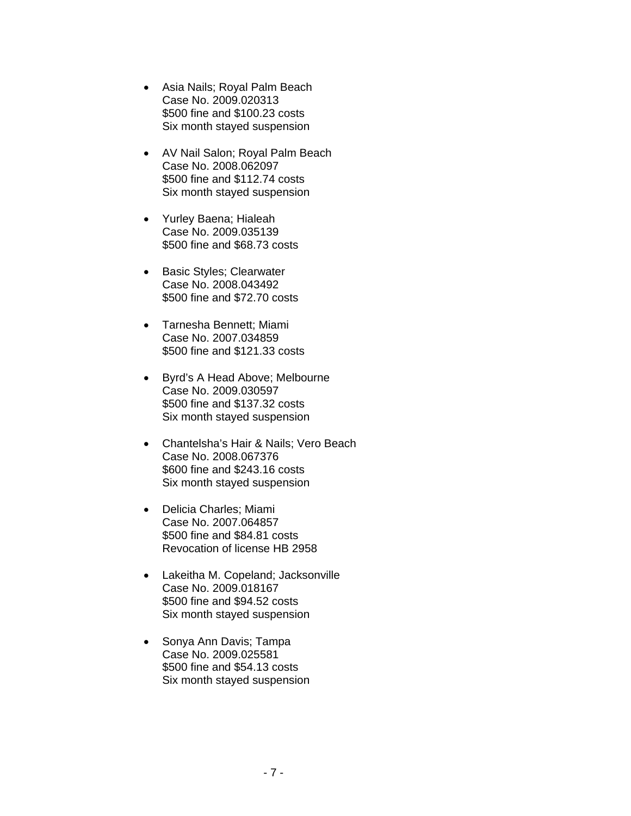- Asia Nails; Royal Palm Beach Case No. 2009.020313 \$500 fine and \$100.23 costs Six month stayed suspension
- AV Nail Salon; Royal Palm Beach Case No. 2008.062097 \$500 fine and \$112.74 costs Six month stayed suspension
- Yurley Baena; Hialeah Case No. 2009.035139 \$500 fine and \$68.73 costs
- Basic Styles; Clearwater Case No. 2008.043492 \$500 fine and \$72.70 costs
- Tarnesha Bennett; Miami Case No. 2007.034859 \$500 fine and \$121.33 costs
- Byrd's A Head Above; Melbourne Case No. 2009.030597 \$500 fine and \$137.32 costs Six month stayed suspension
- Chantelsha's Hair & Nails; Vero Beach Case No. 2008.067376 \$600 fine and \$243.16 costs Six month stayed suspension
- Delicia Charles; Miami Case No. 2007.064857 \$500 fine and \$84.81 costs Revocation of license HB 2958
- Lakeitha M. Copeland; Jacksonville Case No. 2009.018167 \$500 fine and \$94.52 costs Six month stayed suspension
- Sonya Ann Davis; Tampa Case No. 2009.025581 \$500 fine and \$54.13 costs Six month stayed suspension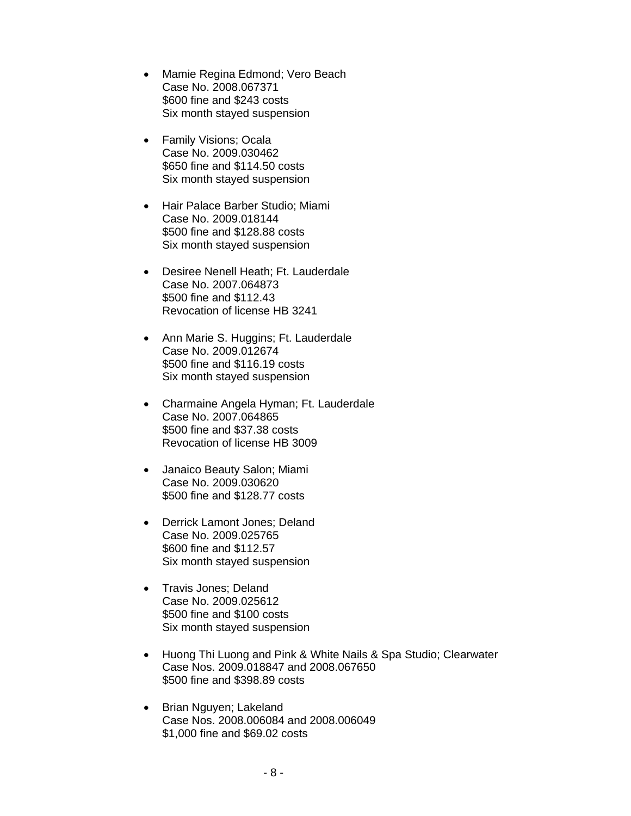- Mamie Regina Edmond; Vero Beach Case No. 2008.067371 \$600 fine and \$243 costs Six month stayed suspension
- Family Visions; Ocala Case No. 2009.030462 \$650 fine and \$114.50 costs Six month stayed suspension
- Hair Palace Barber Studio; Miami Case No. 2009.018144 \$500 fine and \$128.88 costs Six month stayed suspension
- Desiree Nenell Heath; Ft. Lauderdale Case No. 2007.064873 \$500 fine and \$112.43 Revocation of license HB 3241
- Ann Marie S. Huggins; Ft. Lauderdale Case No. 2009.012674 \$500 fine and \$116.19 costs Six month stayed suspension
- Charmaine Angela Hyman; Ft. Lauderdale Case No. 2007.064865 \$500 fine and \$37.38 costs Revocation of license HB 3009
- Janaico Beauty Salon; Miami Case No. 2009.030620 \$500 fine and \$128.77 costs
- Derrick Lamont Jones; Deland Case No. 2009.025765 \$600 fine and \$112.57 Six month stayed suspension
- Travis Jones; Deland Case No. 2009.025612 \$500 fine and \$100 costs Six month stayed suspension
- Huong Thi Luong and Pink & White Nails & Spa Studio; Clearwater Case Nos. 2009.018847 and 2008.067650 \$500 fine and \$398.89 costs
- Brian Nguyen; Lakeland Case Nos. 2008.006084 and 2008.006049 \$1,000 fine and \$69.02 costs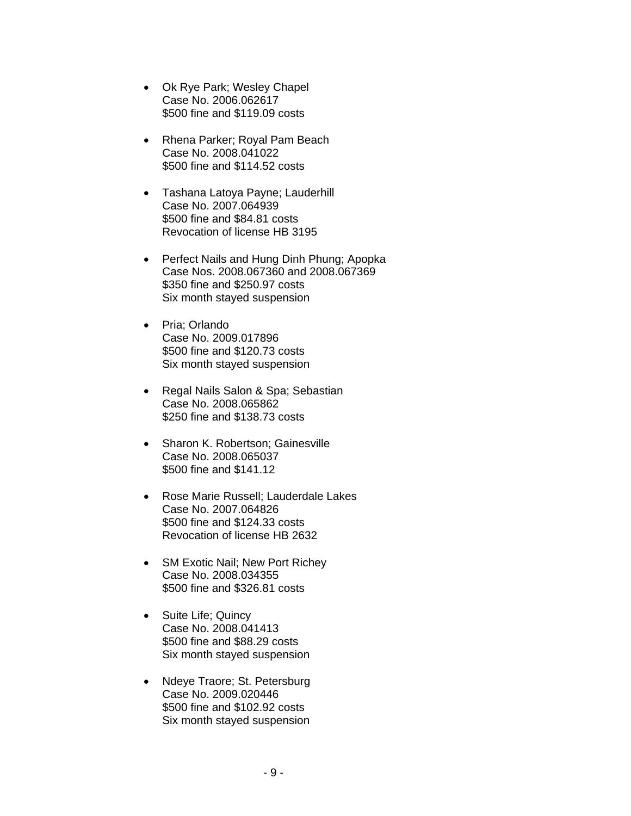- Ok Rye Park; Wesley Chapel Case No. 2006.062617 \$500 fine and \$119.09 costs
- Rhena Parker; Royal Pam Beach Case No. 2008.041022 \$500 fine and \$114.52 costs
- Tashana Latoya Payne; Lauderhill Case No. 2007.064939 \$500 fine and \$84.81 costs Revocation of license HB 3195
- Perfect Nails and Hung Dinh Phung; Apopka Case Nos. 2008.067360 and 2008.067369 \$350 fine and \$250.97 costs Six month stayed suspension
- Pria; Orlando Case No. 2009.017896 \$500 fine and \$120.73 costs Six month stayed suspension
- Regal Nails Salon & Spa; Sebastian Case No. 2008.065862 \$250 fine and \$138.73 costs
- Sharon K. Robertson: Gainesville Case No. 2008.065037 \$500 fine and \$141.12
- Rose Marie Russell; Lauderdale Lakes Case No. 2007.064826 \$500 fine and \$124.33 costs Revocation of license HB 2632
- SM Exotic Nail; New Port Richey Case No. 2008.034355 \$500 fine and \$326.81 costs
- Suite Life; Quincy Case No. 2008.041413 \$500 fine and \$88.29 costs Six month stayed suspension
- Ndeye Traore; St. Petersburg Case No. 2009.020446 \$500 fine and \$102.92 costs Six month stayed suspension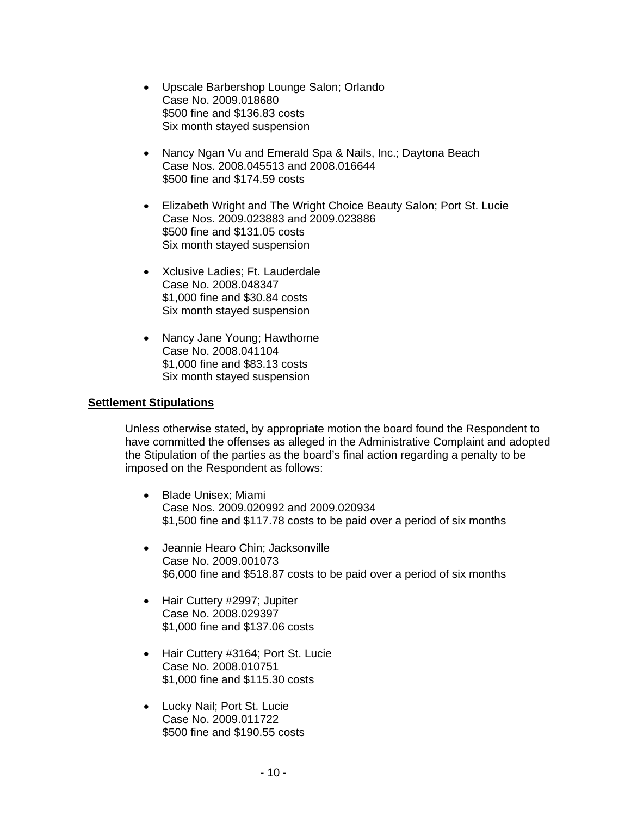- Upscale Barbershop Lounge Salon; Orlando Case No. 2009.018680 \$500 fine and \$136.83 costs Six month stayed suspension
- Nancy Ngan Vu and Emerald Spa & Nails, Inc.; Daytona Beach Case Nos. 2008.045513 and 2008.016644 \$500 fine and \$174.59 costs
- Elizabeth Wright and The Wright Choice Beauty Salon; Port St. Lucie Case Nos. 2009.023883 and 2009.023886 \$500 fine and \$131.05 costs Six month stayed suspension
- Xclusive Ladies; Ft. Lauderdale Case No. 2008.048347 \$1,000 fine and \$30.84 costs Six month stayed suspension
- Nancy Jane Young; Hawthorne Case No. 2008.041104 \$1,000 fine and \$83.13 costs Six month stayed suspension

#### **Settlement Stipulations**

Unless otherwise stated, by appropriate motion the board found the Respondent to have committed the offenses as alleged in the Administrative Complaint and adopted the Stipulation of the parties as the board's final action regarding a penalty to be imposed on the Respondent as follows:

- Blade Unisex; Miami Case Nos. 2009.020992 and 2009.020934 \$1,500 fine and \$117.78 costs to be paid over a period of six months
- Jeannie Hearo Chin; Jacksonville Case No. 2009.001073 \$6,000 fine and \$518.87 costs to be paid over a period of six months
- Hair Cuttery #2997; Jupiter Case No. 2008.029397 \$1,000 fine and \$137.06 costs
- Hair Cuttery #3164; Port St. Lucie Case No. 2008.010751 \$1,000 fine and \$115.30 costs
- Lucky Nail; Port St. Lucie Case No. 2009.011722 \$500 fine and \$190.55 costs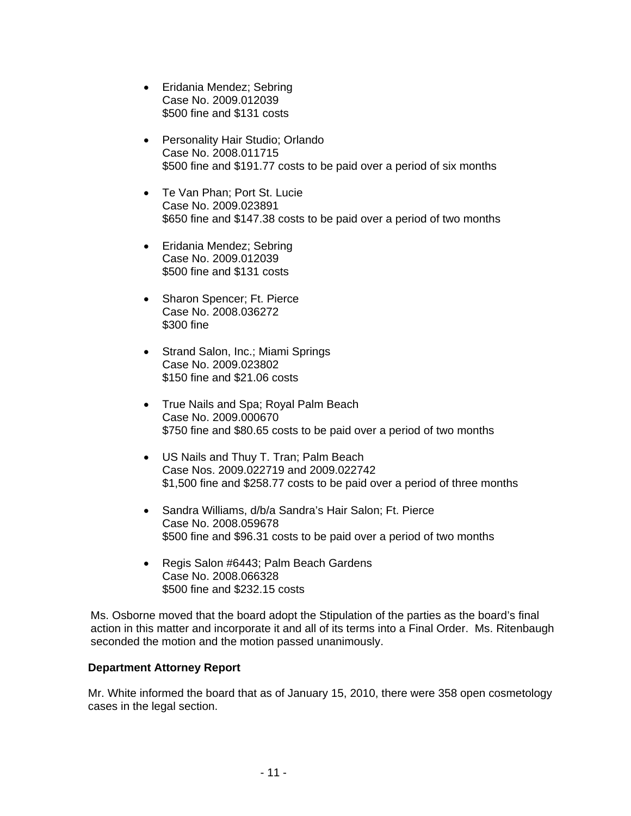- Eridania Mendez; Sebring Case No. 2009.012039 \$500 fine and \$131 costs
- Personality Hair Studio; Orlando Case No. 2008.011715 \$500 fine and \$191.77 costs to be paid over a period of six months
- Te Van Phan; Port St. Lucie Case No. 2009.023891 \$650 fine and \$147.38 costs to be paid over a period of two months
- Eridania Mendez; Sebring Case No. 2009.012039 \$500 fine and \$131 costs
- Sharon Spencer; Ft. Pierce Case No. 2008.036272 \$300 fine
- Strand Salon, Inc.; Miami Springs Case No. 2009.023802 \$150 fine and \$21.06 costs
- True Nails and Spa; Royal Palm Beach Case No. 2009.000670 \$750 fine and \$80.65 costs to be paid over a period of two months
- US Nails and Thuy T. Tran; Palm Beach Case Nos. 2009.022719 and 2009.022742 \$1,500 fine and \$258.77 costs to be paid over a period of three months
- Sandra Williams, d/b/a Sandra's Hair Salon; Ft. Pierce Case No. 2008.059678 \$500 fine and \$96.31 costs to be paid over a period of two months
- Regis Salon #6443; Palm Beach Gardens Case No. 2008.066328 \$500 fine and \$232.15 costs

Ms. Osborne moved that the board adopt the Stipulation of the parties as the board's final action in this matter and incorporate it and all of its terms into a Final Order. Ms. Ritenbaugh seconded the motion and the motion passed unanimously.

# **Department Attorney Report**

Mr. White informed the board that as of January 15, 2010, there were 358 open cosmetology cases in the legal section.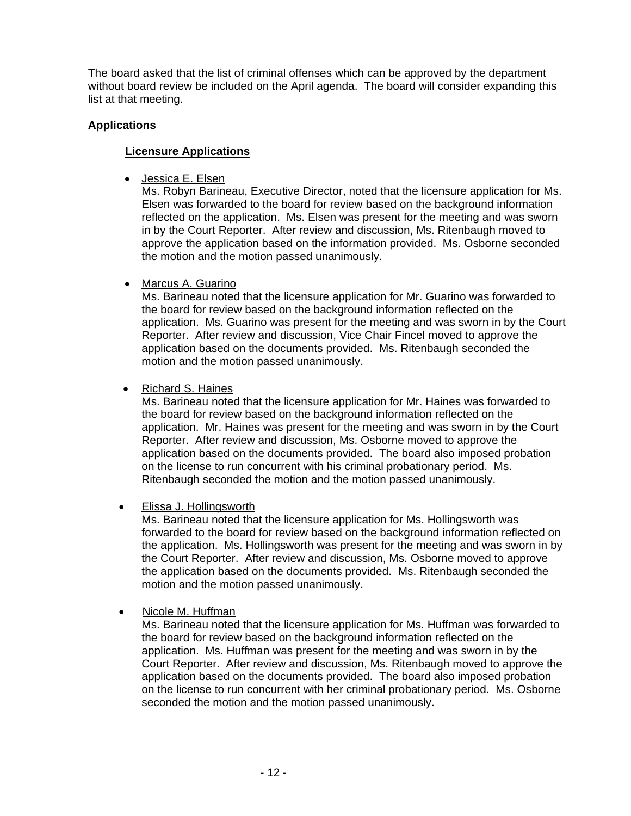The board asked that the list of criminal offenses which can be approved by the department without board review be included on the April agenda. The board will consider expanding this list at that meeting.

# **Applications**

# **Licensure Applications**

• Jessica E. Elsen

 Ms. Robyn Barineau, Executive Director, noted that the licensure application for Ms. Elsen was forwarded to the board for review based on the background information reflected on the application. Ms. Elsen was present for the meeting and was sworn in by the Court Reporter. After review and discussion, Ms. Ritenbaugh moved to approve the application based on the information provided. Ms. Osborne seconded the motion and the motion passed unanimously.

• Marcus A. Guarino

Ms. Barineau noted that the licensure application for Mr. Guarino was forwarded to the board for review based on the background information reflected on the application. Ms. Guarino was present for the meeting and was sworn in by the Court Reporter. After review and discussion, Vice Chair Fincel moved to approve the application based on the documents provided. Ms. Ritenbaugh seconded the motion and the motion passed unanimously.

• Richard S. Haines

Ms. Barineau noted that the licensure application for Mr. Haines was forwarded to the board for review based on the background information reflected on the application. Mr. Haines was present for the meeting and was sworn in by the Court Reporter. After review and discussion, Ms. Osborne moved to approve the application based on the documents provided. The board also imposed probation on the license to run concurrent with his criminal probationary period. Ms. Ritenbaugh seconded the motion and the motion passed unanimously.

• Elissa J. Hollingsworth

Ms. Barineau noted that the licensure application for Ms. Hollingsworth was forwarded to the board for review based on the background information reflected on the application. Ms. Hollingsworth was present for the meeting and was sworn in by the Court Reporter. After review and discussion, Ms. Osborne moved to approve the application based on the documents provided. Ms. Ritenbaugh seconded the motion and the motion passed unanimously.

• Nicole M. Huffman

Ms. Barineau noted that the licensure application for Ms. Huffman was forwarded to the board for review based on the background information reflected on the application. Ms. Huffman was present for the meeting and was sworn in by the Court Reporter. After review and discussion, Ms. Ritenbaugh moved to approve the application based on the documents provided. The board also imposed probation on the license to run concurrent with her criminal probationary period. Ms. Osborne seconded the motion and the motion passed unanimously.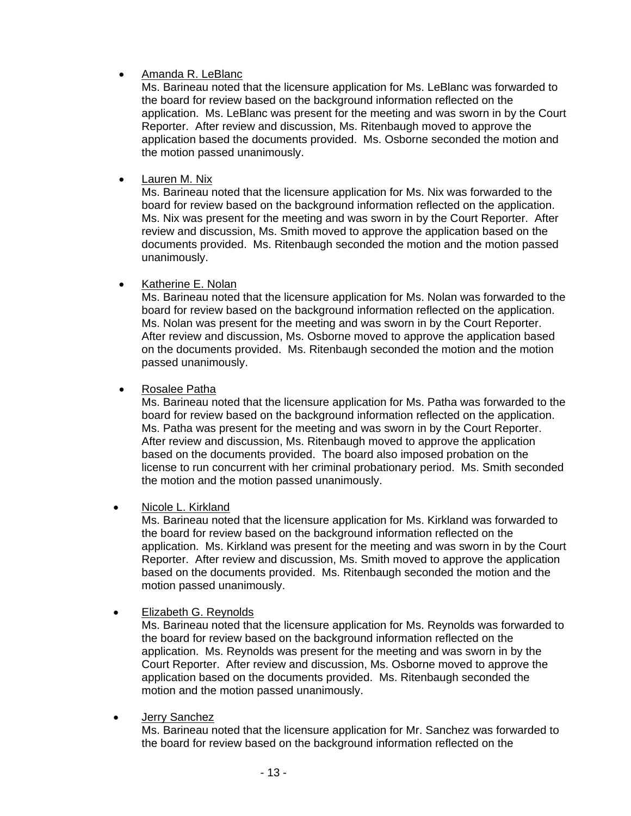# • Amanda R. LeBlanc

Ms. Barineau noted that the licensure application for Ms. LeBlanc was forwarded to the board for review based on the background information reflected on the application. Ms. LeBlanc was present for the meeting and was sworn in by the Court Reporter. After review and discussion, Ms. Ritenbaugh moved to approve the application based the documents provided. Ms. Osborne seconded the motion and the motion passed unanimously.

# • Lauren M. Nix

Ms. Barineau noted that the licensure application for Ms. Nix was forwarded to the board for review based on the background information reflected on the application. Ms. Nix was present for the meeting and was sworn in by the Court Reporter. After review and discussion, Ms. Smith moved to approve the application based on the documents provided. Ms. Ritenbaugh seconded the motion and the motion passed unanimously.

# • Katherine E. Nolan

Ms. Barineau noted that the licensure application for Ms. Nolan was forwarded to the board for review based on the background information reflected on the application. Ms. Nolan was present for the meeting and was sworn in by the Court Reporter. After review and discussion, Ms. Osborne moved to approve the application based on the documents provided. Ms. Ritenbaugh seconded the motion and the motion passed unanimously.

# • Rosalee Patha

Ms. Barineau noted that the licensure application for Ms. Patha was forwarded to the board for review based on the background information reflected on the application. Ms. Patha was present for the meeting and was sworn in by the Court Reporter. After review and discussion, Ms. Ritenbaugh moved to approve the application based on the documents provided. The board also imposed probation on the license to run concurrent with her criminal probationary period. Ms. Smith seconded the motion and the motion passed unanimously.

• Nicole L. Kirkland

Ms. Barineau noted that the licensure application for Ms. Kirkland was forwarded to the board for review based on the background information reflected on the application. Ms. Kirkland was present for the meeting and was sworn in by the Court Reporter. After review and discussion, Ms. Smith moved to approve the application based on the documents provided.Ms. Ritenbaugh seconded the motion and the motion passed unanimously.

• Elizabeth G. Reynolds

Ms. Barineau noted that the licensure application for Ms. Reynolds was forwarded to the board for review based on the background information reflected on the application. Ms. Reynolds was present for the meeting and was sworn in by the Court Reporter. After review and discussion, Ms. Osborne moved to approve the application based on the documents provided. Ms. Ritenbaugh seconded the motion and the motion passed unanimously.

• Jerry Sanchez

Ms. Barineau noted that the licensure application for Mr. Sanchez was forwarded to the board for review based on the background information reflected on the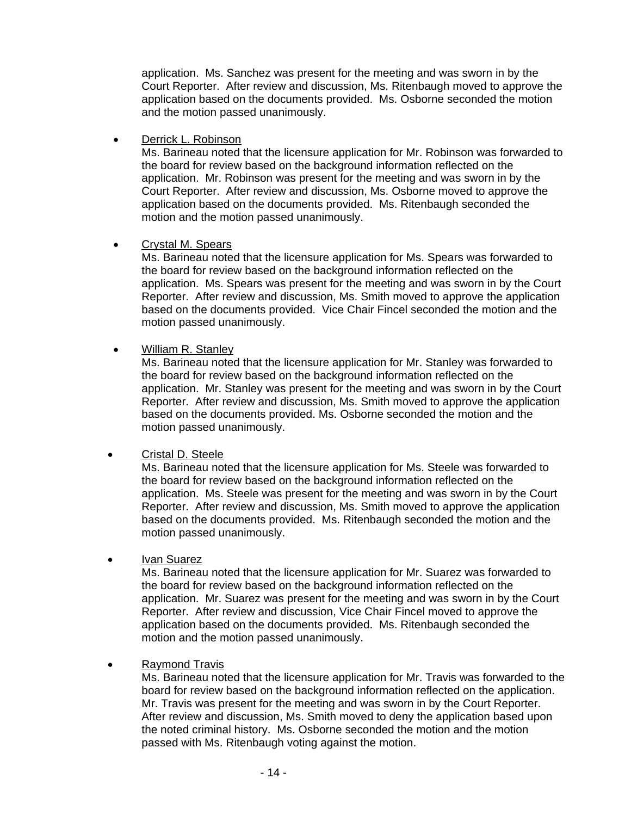application. Ms. Sanchez was present for the meeting and was sworn in by the Court Reporter. After review and discussion, Ms. Ritenbaugh moved to approve the application based on the documents provided. Ms. Osborne seconded the motion and the motion passed unanimously.

• Derrick L. Robinson

Ms. Barineau noted that the licensure application for Mr. Robinson was forwarded to the board for review based on the background information reflected on the application. Mr. Robinson was present for the meeting and was sworn in by the Court Reporter. After review and discussion, Ms. Osborne moved to approve the application based on the documents provided. Ms. Ritenbaugh seconded the motion and the motion passed unanimously.

• Crystal M. Spears

Ms. Barineau noted that the licensure application for Ms. Spears was forwarded to the board for review based on the background information reflected on the application. Ms. Spears was present for the meeting and was sworn in by the Court Reporter. After review and discussion, Ms. Smith moved to approve the application based on the documents provided. Vice Chair Fincel seconded the motion and the motion passed unanimously.

• William R. Stanley

Ms. Barineau noted that the licensure application for Mr. Stanley was forwarded to the board for review based on the background information reflected on the application. Mr. Stanley was present for the meeting and was sworn in by the Court Reporter. After review and discussion, Ms. Smith moved to approve the application based on the documents provided. Ms. Osborne seconded the motion and the motion passed unanimously.

# • Cristal D. Steele

Ms. Barineau noted that the licensure application for Ms. Steele was forwarded to the board for review based on the background information reflected on the application. Ms. Steele was present for the meeting and was sworn in by the Court Reporter. After review and discussion, Ms. Smith moved to approve the application based on the documents provided. Ms. Ritenbaugh seconded the motion and the motion passed unanimously.

• Ivan Suarez

Ms. Barineau noted that the licensure application for Mr. Suarez was forwarded to the board for review based on the background information reflected on the application. Mr. Suarez was present for the meeting and was sworn in by the Court Reporter. After review and discussion, Vice Chair Fincel moved to approve the application based on the documents provided. Ms. Ritenbaugh seconded the motion and the motion passed unanimously.

• Raymond Travis

Ms. Barineau noted that the licensure application for Mr. Travis was forwarded to the board for review based on the background information reflected on the application. Mr. Travis was present for the meeting and was sworn in by the Court Reporter. After review and discussion, Ms. Smith moved to deny the application based upon the noted criminal history. Ms. Osborne seconded the motion and the motion passed with Ms. Ritenbaugh voting against the motion.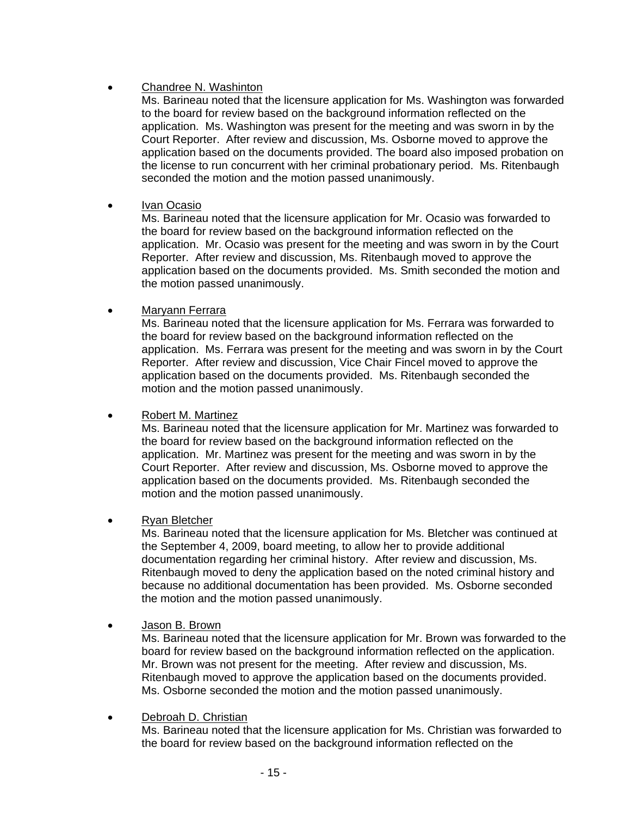# • Chandree N. Washinton

Ms. Barineau noted that the licensure application for Ms. Washington was forwarded to the board for review based on the background information reflected on the application. Ms. Washington was present for the meeting and was sworn in by the Court Reporter. After review and discussion, Ms. Osborne moved to approve the application based on the documents provided. The board also imposed probation on the license to run concurrent with her criminal probationary period. Ms. Ritenbaugh seconded the motion and the motion passed unanimously.

# • Ivan Ocasio

Ms. Barineau noted that the licensure application for Mr. Ocasio was forwarded to the board for review based on the background information reflected on the application. Mr. Ocasio was present for the meeting and was sworn in by the Court Reporter. After review and discussion, Ms. Ritenbaugh moved to approve the application based on the documents provided. Ms. Smith seconded the motion and the motion passed unanimously.

# • Maryann Ferrara

Ms. Barineau noted that the licensure application for Ms. Ferrara was forwarded to the board for review based on the background information reflected on the application. Ms. Ferrara was present for the meeting and was sworn in by the Court Reporter. After review and discussion, Vice Chair Fincel moved to approve the application based on the documents provided. Ms. Ritenbaugh seconded the motion and the motion passed unanimously.

#### • Robert M. Martinez

Ms. Barineau noted that the licensure application for Mr. Martinez was forwarded to the board for review based on the background information reflected on the application. Mr. Martinez was present for the meeting and was sworn in by the Court Reporter. After review and discussion, Ms. Osborne moved to approve the application based on the documents provided. Ms. Ritenbaugh seconded the motion and the motion passed unanimously.

# • Ryan Bletcher

Ms. Barineau noted that the licensure application for Ms. Bletcher was continued at the September 4, 2009, board meeting, to allow her to provide additional documentation regarding her criminal history. After review and discussion, Ms. Ritenbaugh moved to deny the application based on the noted criminal history and because no additional documentation has been provided. Ms. Osborne seconded the motion and the motion passed unanimously.

# • Jason B. Brown

Ms. Barineau noted that the licensure application for Mr. Brown was forwarded to the board for review based on the background information reflected on the application. Mr. Brown was not present for the meeting. After review and discussion, Ms. Ritenbaugh moved to approve the application based on the documents provided. Ms. Osborne seconded the motion and the motion passed unanimously.

# • Debroah D. Christian

Ms. Barineau noted that the licensure application for Ms. Christian was forwarded to the board for review based on the background information reflected on the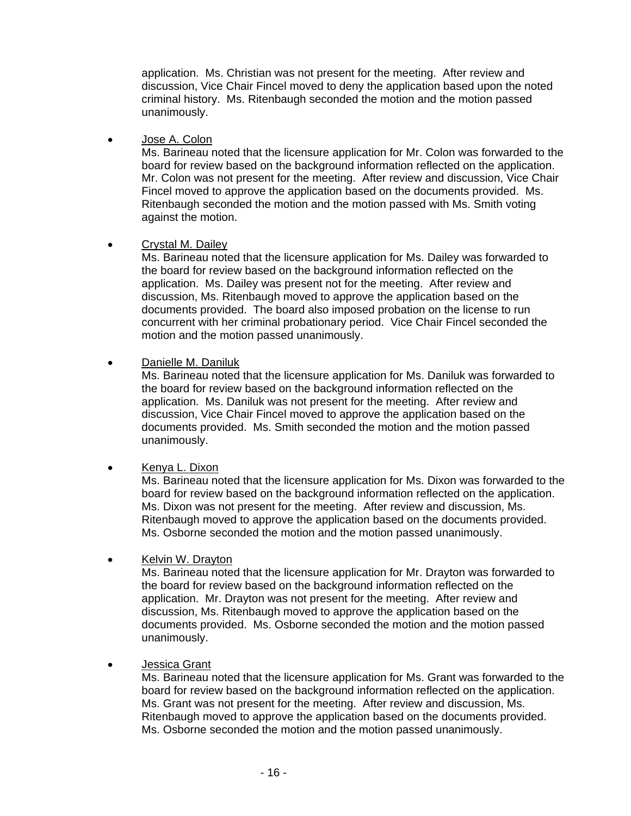application. Ms. Christian was not present for the meeting. After review and discussion, Vice Chair Fincel moved to deny the application based upon the noted criminal history. Ms. Ritenbaugh seconded the motion and the motion passed unanimously.

• Jose A. Colon

Ms. Barineau noted that the licensure application for Mr. Colon was forwarded to the board for review based on the background information reflected on the application. Mr. Colon was not present for the meeting. After review and discussion, Vice Chair Fincel moved to approve the application based on the documents provided. Ms. Ritenbaugh seconded the motion and the motion passed with Ms. Smith voting against the motion.

• Crystal M. Dailey

Ms. Barineau noted that the licensure application for Ms. Dailey was forwarded to the board for review based on the background information reflected on the application. Ms. Dailey was present not for the meeting. After review and discussion, Ms. Ritenbaugh moved to approve the application based on the documents provided. The board also imposed probation on the license to run concurrent with her criminal probationary period. Vice Chair Fincel seconded the motion and the motion passed unanimously.

• Danielle M. Daniluk

Ms. Barineau noted that the licensure application for Ms. Daniluk was forwarded to the board for review based on the background information reflected on the application. Ms. Daniluk was not present for the meeting. After review and discussion, Vice Chair Fincel moved to approve the application based on the documents provided. Ms. Smith seconded the motion and the motion passed unanimously.

• Kenya L. Dixon

Ms. Barineau noted that the licensure application for Ms. Dixon was forwarded to the board for review based on the background information reflected on the application. Ms. Dixon was not present for the meeting. After review and discussion, Ms. Ritenbaugh moved to approve the application based on the documents provided. Ms. Osborne seconded the motion and the motion passed unanimously.

• Kelvin W. Drayton

Ms. Barineau noted that the licensure application for Mr. Drayton was forwarded to the board for review based on the background information reflected on the application. Mr. Drayton was not present for the meeting. After review and discussion, Ms. Ritenbaugh moved to approve the application based on the documents provided. Ms. Osborne seconded the motion and the motion passed unanimously.

• Jessica Grant

Ms. Barineau noted that the licensure application for Ms. Grant was forwarded to the board for review based on the background information reflected on the application. Ms. Grant was not present for the meeting. After review and discussion, Ms. Ritenbaugh moved to approve the application based on the documents provided. Ms. Osborne seconded the motion and the motion passed unanimously.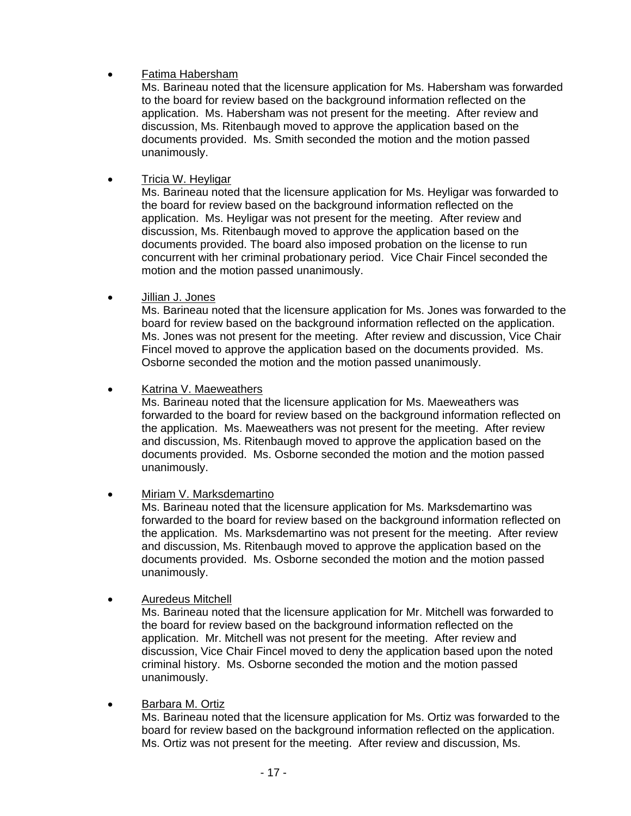# • Fatima Habersham

Ms. Barineau noted that the licensure application for Ms. Habersham was forwarded to the board for review based on the background information reflected on the application. Ms. Habersham was not present for the meeting. After review and discussion, Ms. Ritenbaugh moved to approve the application based on the documents provided. Ms. Smith seconded the motion and the motion passed unanimously.

# • Tricia W. Heyligar

Ms. Barineau noted that the licensure application for Ms. Heyligar was forwarded to the board for review based on the background information reflected on the application. Ms. Heyligar was not present for the meeting. After review and discussion, Ms. Ritenbaugh moved to approve the application based on the documents provided. The board also imposed probation on the license to run concurrent with her criminal probationary period. Vice Chair Fincel seconded the motion and the motion passed unanimously.

• Jillian J. Jones

Ms. Barineau noted that the licensure application for Ms. Jones was forwarded to the board for review based on the background information reflected on the application. Ms. Jones was not present for the meeting. After review and discussion, Vice Chair Fincel moved to approve the application based on the documents provided. Ms. Osborne seconded the motion and the motion passed unanimously.

• Katrina V. Maeweathers

Ms. Barineau noted that the licensure application for Ms. Maeweathers was forwarded to the board for review based on the background information reflected on the application. Ms. Maeweathers was not present for the meeting. After review and discussion, Ms. Ritenbaugh moved to approve the application based on the documents provided. Ms. Osborne seconded the motion and the motion passed unanimously.

• Miriam V. Marksdemartino

Ms. Barineau noted that the licensure application for Ms. Marksdemartino was forwarded to the board for review based on the background information reflected on the application. Ms. Marksdemartino was not present for the meeting. After review and discussion, Ms. Ritenbaugh moved to approve the application based on the documents provided. Ms. Osborne seconded the motion and the motion passed unanimously.

• Auredeus Mitchell

Ms. Barineau noted that the licensure application for Mr. Mitchell was forwarded to the board for review based on the background information reflected on the application. Mr. Mitchell was not present for the meeting. After review and discussion, Vice Chair Fincel moved to deny the application based upon the noted criminal history. Ms. Osborne seconded the motion and the motion passed unanimously.

• Barbara M. Ortiz

Ms. Barineau noted that the licensure application for Ms. Ortiz was forwarded to the board for review based on the background information reflected on the application. Ms. Ortiz was not present for the meeting. After review and discussion, Ms.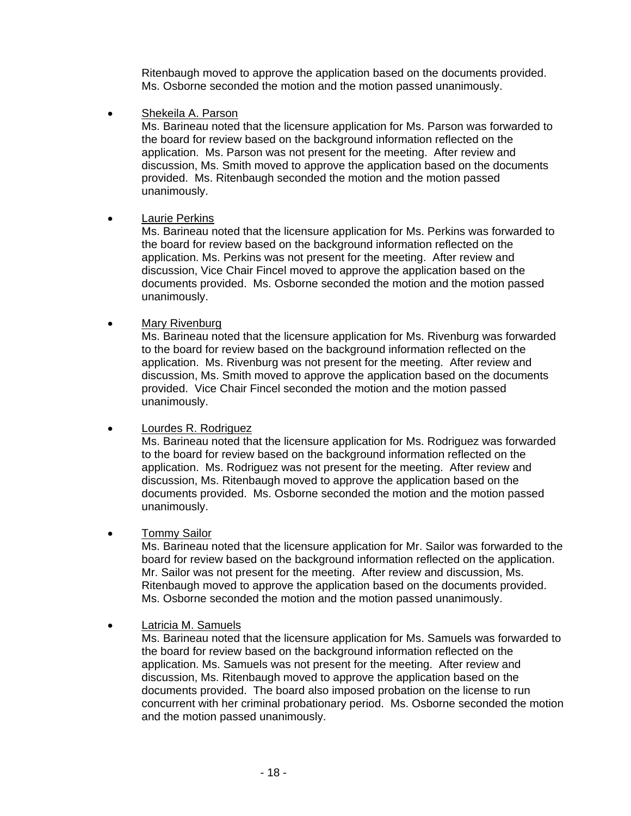Ritenbaugh moved to approve the application based on the documents provided. Ms. Osborne seconded the motion and the motion passed unanimously.

Shekeila A. Parson

Ms. Barineau noted that the licensure application for Ms. Parson was forwarded to the board for review based on the background information reflected on the application. Ms. Parson was not present for the meeting. After review and discussion, Ms. Smith moved to approve the application based on the documents provided. Ms. Ritenbaugh seconded the motion and the motion passed unanimously.

# Laurie Perkins

Ms. Barineau noted that the licensure application for Ms. Perkins was forwarded to the board for review based on the background information reflected on the application. Ms. Perkins was not present for the meeting. After review and discussion, Vice Chair Fincel moved to approve the application based on the documents provided. Ms. Osborne seconded the motion and the motion passed unanimously.

# • Mary Rivenburg

Ms. Barineau noted that the licensure application for Ms. Rivenburg was forwarded to the board for review based on the background information reflected on the application. Ms. Rivenburg was not present for the meeting. After review and discussion, Ms. Smith moved to approve the application based on the documents provided. Vice Chair Fincel seconded the motion and the motion passed unanimously.

# • Lourdes R. Rodriguez

Ms. Barineau noted that the licensure application for Ms. Rodriguez was forwarded to the board for review based on the background information reflected on the application. Ms. Rodriguez was not present for the meeting. After review and discussion, Ms. Ritenbaugh moved to approve the application based on the documents provided. Ms. Osborne seconded the motion and the motion passed unanimously.

# • Tommy Sailor

Ms. Barineau noted that the licensure application for Mr. Sailor was forwarded to the board for review based on the background information reflected on the application. Mr. Sailor was not present for the meeting. After review and discussion, Ms. Ritenbaugh moved to approve the application based on the documents provided. Ms. Osborne seconded the motion and the motion passed unanimously.

• Latricia M. Samuels

Ms. Barineau noted that the licensure application for Ms. Samuels was forwarded to the board for review based on the background information reflected on the application. Ms. Samuels was not present for the meeting. After review and discussion, Ms. Ritenbaugh moved to approve the application based on the documents provided. The board also imposed probation on the license to run concurrent with her criminal probationary period. Ms. Osborne seconded the motion and the motion passed unanimously.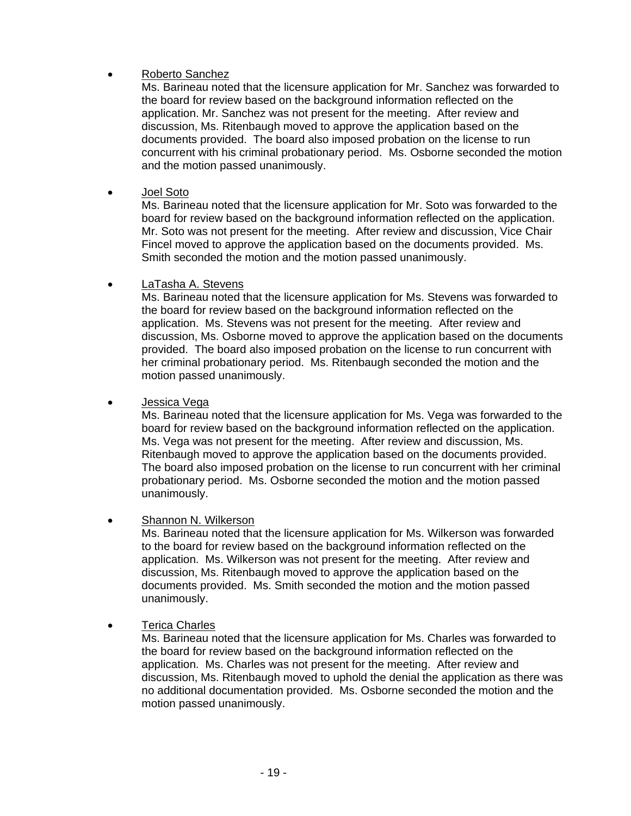# • Roberto Sanchez

Ms. Barineau noted that the licensure application for Mr. Sanchez was forwarded to the board for review based on the background information reflected on the application. Mr. Sanchez was not present for the meeting. After review and discussion, Ms. Ritenbaugh moved to approve the application based on the documents provided. The board also imposed probation on the license to run concurrent with his criminal probationary period. Ms. Osborne seconded the motion and the motion passed unanimously.

• Joel Soto

Ms. Barineau noted that the licensure application for Mr. Soto was forwarded to the board for review based on the background information reflected on the application. Mr. Soto was not present for the meeting. After review and discussion, Vice Chair Fincel moved to approve the application based on the documents provided. Ms. Smith seconded the motion and the motion passed unanimously.

# • LaTasha A. Stevens

Ms. Barineau noted that the licensure application for Ms. Stevens was forwarded to the board for review based on the background information reflected on the application. Ms. Stevens was not present for the meeting. After review and discussion, Ms. Osborne moved to approve the application based on the documents provided. The board also imposed probation on the license to run concurrent with her criminal probationary period. Ms. Ritenbaugh seconded the motion and the motion passed unanimously.

# • Jessica Vega

Ms. Barineau noted that the licensure application for Ms. Vega was forwarded to the board for review based on the background information reflected on the application. Ms. Vega was not present for the meeting. After review and discussion, Ms. Ritenbaugh moved to approve the application based on the documents provided. The board also imposed probation on the license to run concurrent with her criminal probationary period. Ms. Osborne seconded the motion and the motion passed unanimously.

# • Shannon N. Wilkerson

Ms. Barineau noted that the licensure application for Ms. Wilkerson was forwarded to the board for review based on the background information reflected on the application. Ms. Wilkerson was not present for the meeting. After review and discussion, Ms. Ritenbaugh moved to approve the application based on the documents provided. Ms. Smith seconded the motion and the motion passed unanimously.

# • Terica Charles

Ms. Barineau noted that the licensure application for Ms. Charles was forwarded to the board for review based on the background information reflected on the application. Ms. Charles was not present for the meeting. After review and discussion, Ms. Ritenbaugh moved to uphold the denial the application as there was no additional documentation provided. Ms. Osborne seconded the motion and the motion passed unanimously.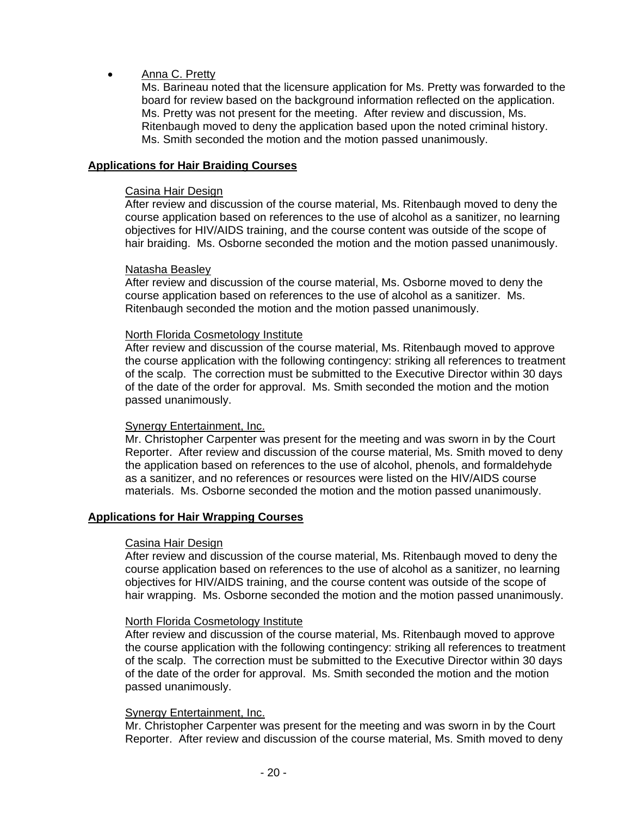# Anna C. Pretty

Ms. Barineau noted that the licensure application for Ms. Pretty was forwarded to the board for review based on the background information reflected on the application. Ms. Pretty was not present for the meeting. After review and discussion, Ms. Ritenbaugh moved to deny the application based upon the noted criminal history. Ms. Smith seconded the motion and the motion passed unanimously.

#### **Applications for Hair Braiding Courses**

#### Casina Hair Design

After review and discussion of the course material, Ms. Ritenbaugh moved to deny the course application based on references to the use of alcohol as a sanitizer, no learning objectives for HIV/AIDS training, and the course content was outside of the scope of hair braiding. Ms. Osborne seconded the motion and the motion passed unanimously.

#### Natasha Beasley

After review and discussion of the course material, Ms. Osborne moved to deny the course application based on references to the use of alcohol as a sanitizer. Ms. Ritenbaugh seconded the motion and the motion passed unanimously.

#### North Florida Cosmetology Institute

After review and discussion of the course material, Ms. Ritenbaugh moved to approve the course application with the following contingency: striking all references to treatment of the scalp. The correction must be submitted to the Executive Director within 30 days of the date of the order for approval. Ms. Smith seconded the motion and the motion passed unanimously.

#### Synergy Entertainment, Inc.

Mr. Christopher Carpenter was present for the meeting and was sworn in by the Court Reporter. After review and discussion of the course material, Ms. Smith moved to deny the application based on references to the use of alcohol, phenols, and formaldehyde as a sanitizer, and no references or resources were listed on the HIV/AIDS course materials. Ms. Osborne seconded the motion and the motion passed unanimously.

#### **Applications for Hair Wrapping Courses**

#### Casina Hair Design

After review and discussion of the course material, Ms. Ritenbaugh moved to deny the course application based on references to the use of alcohol as a sanitizer, no learning objectives for HIV/AIDS training, and the course content was outside of the scope of hair wrapping. Ms. Osborne seconded the motion and the motion passed unanimously.

#### North Florida Cosmetology Institute

After review and discussion of the course material, Ms. Ritenbaugh moved to approve the course application with the following contingency: striking all references to treatment of the scalp. The correction must be submitted to the Executive Director within 30 days of the date of the order for approval. Ms. Smith seconded the motion and the motion passed unanimously.

#### Synergy Entertainment, Inc.

Mr. Christopher Carpenter was present for the meeting and was sworn in by the Court Reporter. After review and discussion of the course material, Ms. Smith moved to deny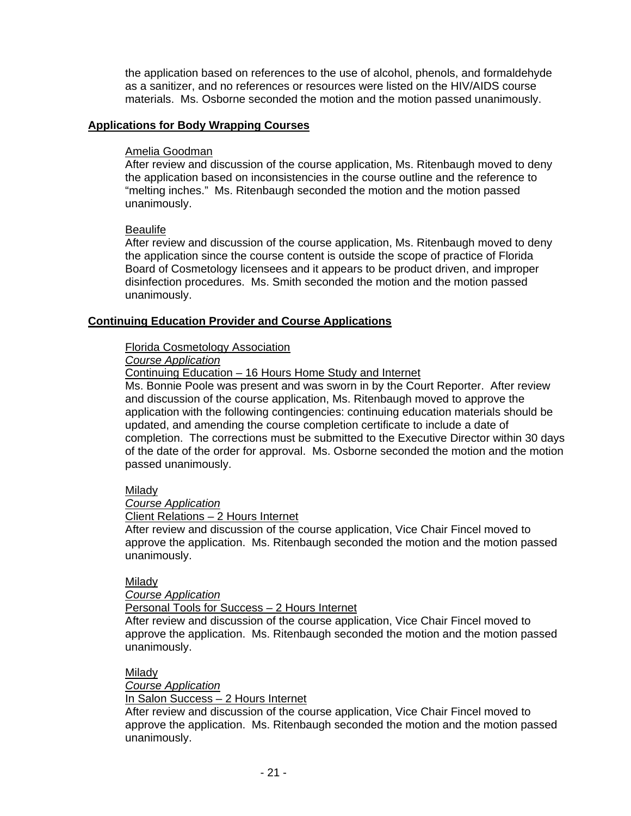the application based on references to the use of alcohol, phenols, and formaldehyde as a sanitizer, and no references or resources were listed on the HIV/AIDS course materials. Ms. Osborne seconded the motion and the motion passed unanimously.

#### **Applications for Body Wrapping Courses**

#### Amelia Goodman

After review and discussion of the course application, Ms. Ritenbaugh moved to deny the application based on inconsistencies in the course outline and the reference to "melting inches." Ms. Ritenbaugh seconded the motion and the motion passed unanimously.

### **Beaulife**

After review and discussion of the course application, Ms. Ritenbaugh moved to deny the application since the course content is outside the scope of practice of Florida Board of Cosmetology licensees and it appears to be product driven, and improper disinfection procedures. Ms. Smith seconded the motion and the motion passed unanimously.

### **Continuing Education Provider and Course Applications**

### Florida Cosmetology Association

# *Course Application*

Continuing Education – 16 Hours Home Study and Internet

Ms. Bonnie Poole was present and was sworn in by the Court Reporter. After review and discussion of the course application, Ms. Ritenbaugh moved to approve the application with the following contingencies: continuing education materials should be updated, and amending the course completion certificate to include a date of completion. The corrections must be submitted to the Executive Director within 30 days of the date of the order for approval. Ms. Osborne seconded the motion and the motion passed unanimously.

# Milady

*Course Application*

Client Relations – 2 Hours Internet

After review and discussion of the course application, Vice Chair Fincel moved to approve the application. Ms. Ritenbaugh seconded the motion and the motion passed unanimously.

#### Milady

*Course Application*

Personal Tools for Success – 2 Hours Internet

After review and discussion of the course application, Vice Chair Fincel moved to approve the application. Ms. Ritenbaugh seconded the motion and the motion passed unanimously.

#### Milady

*Course Application*

#### In Salon Success – 2 Hours Internet

After review and discussion of the course application, Vice Chair Fincel moved to approve the application. Ms. Ritenbaugh seconded the motion and the motion passed unanimously.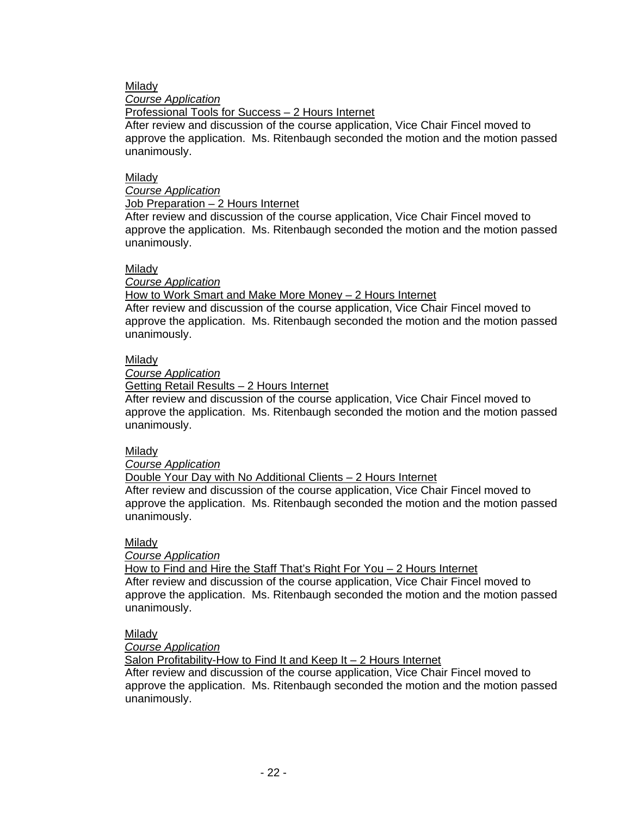# Milady

#### *Course Application*

Professional Tools for Success – 2 Hours Internet

After review and discussion of the course application, Vice Chair Fincel moved to approve the application. Ms. Ritenbaugh seconded the motion and the motion passed unanimously.

### Milady

# *Course Application*

### Job Preparation – 2 Hours Internet

After review and discussion of the course application, Vice Chair Fincel moved to approve the application. Ms. Ritenbaugh seconded the motion and the motion passed unanimously.

### Milady

### *Course Application*

How to Work Smart and Make More Money – 2 Hours Internet

After review and discussion of the course application, Vice Chair Fincel moved to approve the application. Ms. Ritenbaugh seconded the motion and the motion passed unanimously.

# Milady

*Course Application*

Getting Retail Results – 2 Hours Internet

After review and discussion of the course application, Vice Chair Fincel moved to approve the application. Ms. Ritenbaugh seconded the motion and the motion passed unanimously.

# Milady

*Course Application*

Double Your Day with No Additional Clients – 2 Hours Internet

After review and discussion of the course application, Vice Chair Fincel moved to approve the application. Ms. Ritenbaugh seconded the motion and the motion passed unanimously.

#### Milady

# *Course Application*

 How to Find and Hire the Staff That's Right For You – 2 Hours Internet After review and discussion of the course application, Vice Chair Fincel moved to

approve the application. Ms. Ritenbaugh seconded the motion and the motion passed unanimously.

# Milady

 *Course Application*

Salon Profitability-How to Find It and Keep It – 2 Hours Internet

After review and discussion of the course application, Vice Chair Fincel moved to approve the application. Ms. Ritenbaugh seconded the motion and the motion passed unanimously.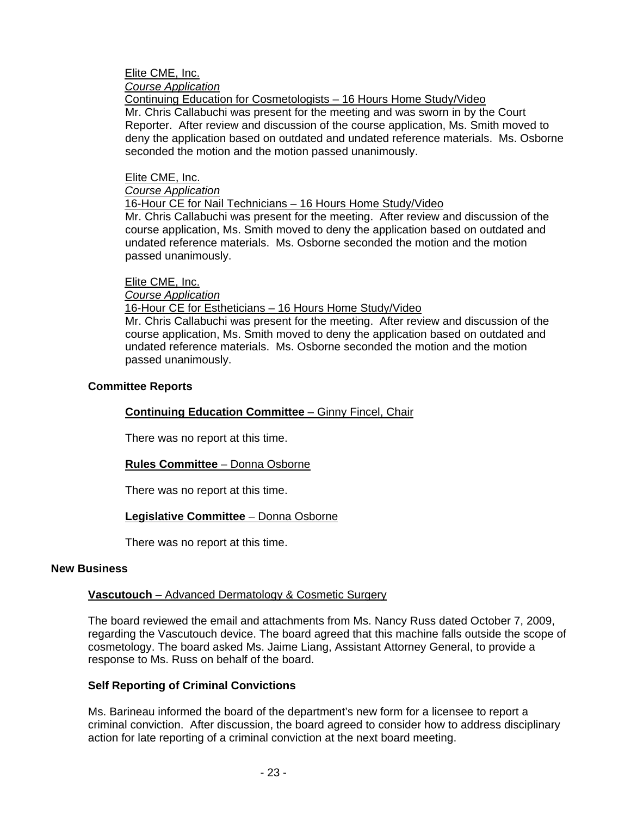# Elite CME, Inc.

 *Course Application*

Continuing Education for Cosmetologists – 16 Hours Home Study/Video

Mr. Chris Callabuchi was present for the meeting and was sworn in by the Court Reporter. After review and discussion of the course application, Ms. Smith moved to deny the application based on outdated and undated reference materials. Ms. Osborne seconded the motion and the motion passed unanimously.

# Elite CME, Inc.

# *Course Application*

16-Hour CE for Nail Technicians – 16 Hours Home Study/Video

Mr. Chris Callabuchi was present for the meeting. After review and discussion of the course application, Ms. Smith moved to deny the application based on outdated and undated reference materials. Ms. Osborne seconded the motion and the motion passed unanimously.

# Elite CME, Inc.

# *Course Application*

# 16-Hour CE for Estheticians – 16 Hours Home Study/Video

Mr. Chris Callabuchi was present for the meeting. After review and discussion of the course application, Ms. Smith moved to deny the application based on outdated and undated reference materials. Ms. Osborne seconded the motion and the motion passed unanimously.

# **Committee Reports**

# **Continuing Education Committee** – Ginny Fincel, Chair

There was no report at this time.

# **Rules Committee** – Donna Osborne

There was no report at this time.

# **Legislative Committee** – Donna Osborne

There was no report at this time.

# **New Business**

# **Vascutouch** – Advanced Dermatology & Cosmetic Surgery

The board reviewed the email and attachments from Ms. Nancy Russ dated October 7, 2009, regarding the Vascutouch device. The board agreed that this machine falls outside the scope of cosmetology. The board asked Ms. Jaime Liang, Assistant Attorney General, to provide a response to Ms. Russ on behalf of the board.

# **Self Reporting of Criminal Convictions**

Ms. Barineau informed the board of the department's new form for a licensee to report a criminal conviction. After discussion, the board agreed to consider how to address disciplinary action for late reporting of a criminal conviction at the next board meeting.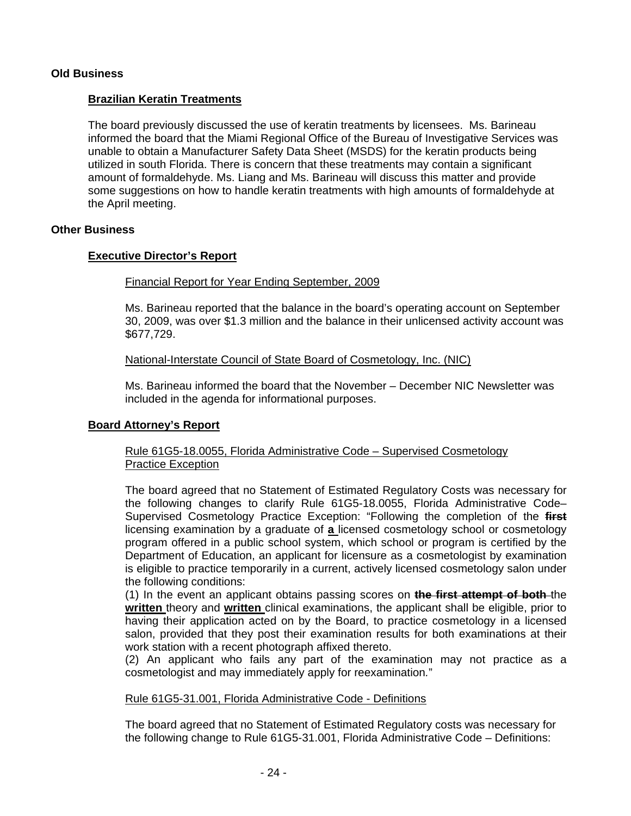# **Old Business**

### **Brazilian Keratin Treatments**

The board previously discussed the use of keratin treatments by licensees. Ms. Barineau informed the board that the Miami Regional Office of the Bureau of Investigative Services was unable to obtain a Manufacturer Safety Data Sheet (MSDS) for the keratin products being utilized in south Florida. There is concern that these treatments may contain a significant amount of formaldehyde. Ms. Liang and Ms. Barineau will discuss this matter and provide some suggestions on how to handle keratin treatments with high amounts of formaldehyde at the April meeting.

#### **Other Business**

#### **Executive Director's Report**

#### Financial Report for Year Ending September, 2009

Ms. Barineau reported that the balance in the board's operating account on September 30, 2009, was over \$1.3 million and the balance in their unlicensed activity account was \$677,729.

#### National-Interstate Council of State Board of Cosmetology, Inc. (NIC)

Ms. Barineau informed the board that the November – December NIC Newsletter was included in the agenda for informational purposes.

#### **Board Attorney's Report**

### Rule 61G5-18.0055, Florida Administrative Code – Supervised Cosmetology Practice Exception

The board agreed that no Statement of Estimated Regulatory Costs was necessary for the following changes to clarify Rule 61G5-18.0055, Florida Administrative Code– Supervised Cosmetology Practice Exception: "Following the completion of the **first**  licensing examination by a graduate of **a** licensed cosmetology school or cosmetology program offered in a public school system, which school or program is certified by the Department of Education, an applicant for licensure as a cosmetologist by examination is eligible to practice temporarily in a current, actively licensed cosmetology salon under the following conditions:

(1) In the event an applicant obtains passing scores on **the first attempt of both** the **written** theory and **written** clinical examinations, the applicant shall be eligible, prior to having their application acted on by the Board, to practice cosmetology in a licensed salon, provided that they post their examination results for both examinations at their work station with a recent photograph affixed thereto.

(2) An applicant who fails any part of the examination may not practice as a cosmetologist and may immediately apply for reexamination*.*"

#### Rule 61G5-31.001, Florida Administrative Code - Definitions

The board agreed that no Statement of Estimated Regulatory costs was necessary for the following change to Rule 61G5-31.001, Florida Administrative Code – Definitions: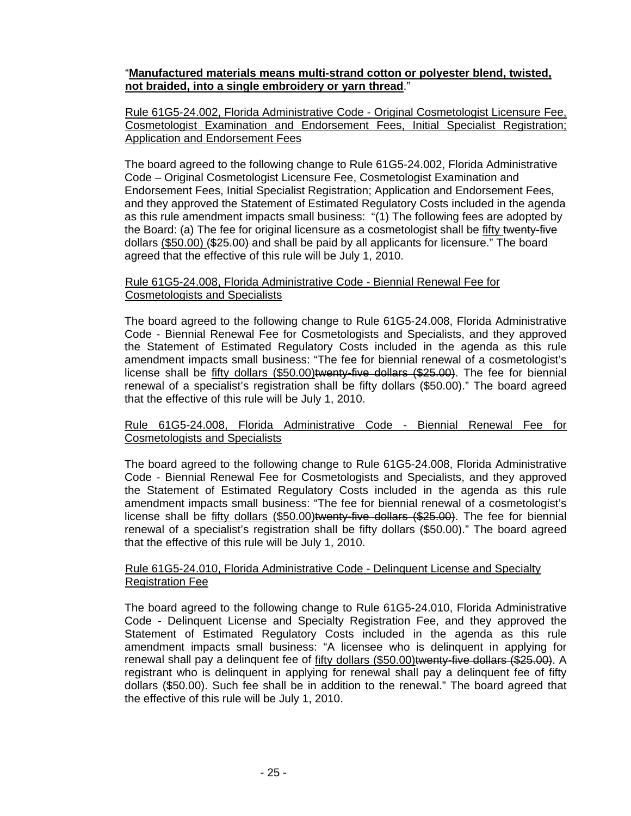# "**Manufactured materials means multi-strand cotton or polyester blend, twisted, not braided, into a single embroidery or yarn thread**."

Rule 61G5-24.002, Florida Administrative Code - Original Cosmetologist Licensure Fee, Cosmetologist Examination and Endorsement Fees, Initial Specialist Registration; Application and Endorsement Fees

The board agreed to the following change to Rule 61G5-24.002, Florida Administrative Code – Original Cosmetologist Licensure Fee, Cosmetologist Examination and Endorsement Fees, Initial Specialist Registration; Application and Endorsement Fees, and they approved the Statement of Estimated Regulatory Costs included in the agenda as this rule amendment impacts small business: "(1) The following fees are adopted by the Board: (a) The fee for original licensure as a cosmetologist shall be fifty twenty-five dollars (\$50.00) (\$25.00) and shall be paid by all applicants for licensure." The board agreed that the effective of this rule will be July 1, 2010.

# Rule 61G5-24.008, Florida Administrative Code - Biennial Renewal Fee for Cosmetologists and Specialists

The board agreed to the following change to Rule 61G5-24.008, Florida Administrative Code - Biennial Renewal Fee for Cosmetologists and Specialists, and they approved the Statement of Estimated Regulatory Costs included in the agenda as this rule amendment impacts small business: "The fee for biennial renewal of a cosmetologist's license shall be fifty dollars (\$50.00)twenty-five dollars (\$25.00). The fee for biennial renewal of a specialist's registration shall be fifty dollars (\$50.00)." The board agreed that the effective of this rule will be July 1, 2010.

### Rule 61G5-24.008, Florida Administrative Code - Biennial Renewal Fee for Cosmetologists and Specialists

The board agreed to the following change to Rule 61G5-24.008, Florida Administrative Code - Biennial Renewal Fee for Cosmetologists and Specialists, and they approved the Statement of Estimated Regulatory Costs included in the agenda as this rule amendment impacts small business: "The fee for biennial renewal of a cosmetologist's license shall be fifty dollars (\$50.00)twenty-five dollars (\$25.00). The fee for biennial renewal of a specialist's registration shall be fifty dollars (\$50.00)." The board agreed that the effective of this rule will be July 1, 2010.

### Rule 61G5-24.010, Florida Administrative Code - Delinquent License and Specialty Registration Fee

The board agreed to the following change to Rule 61G5-24.010, Florida Administrative Code - Delinquent License and Specialty Registration Fee, and they approved the Statement of Estimated Regulatory Costs included in the agenda as this rule amendment impacts small business: "A licensee who is delinquent in applying for renewal shall pay a delinquent fee of fifty dollars (\$50.00)twenty-five dollars (\$25.00). A registrant who is delinquent in applying for renewal shall pay a delinquent fee of fifty dollars (\$50.00). Such fee shall be in addition to the renewal." The board agreed that the effective of this rule will be July 1, 2010.